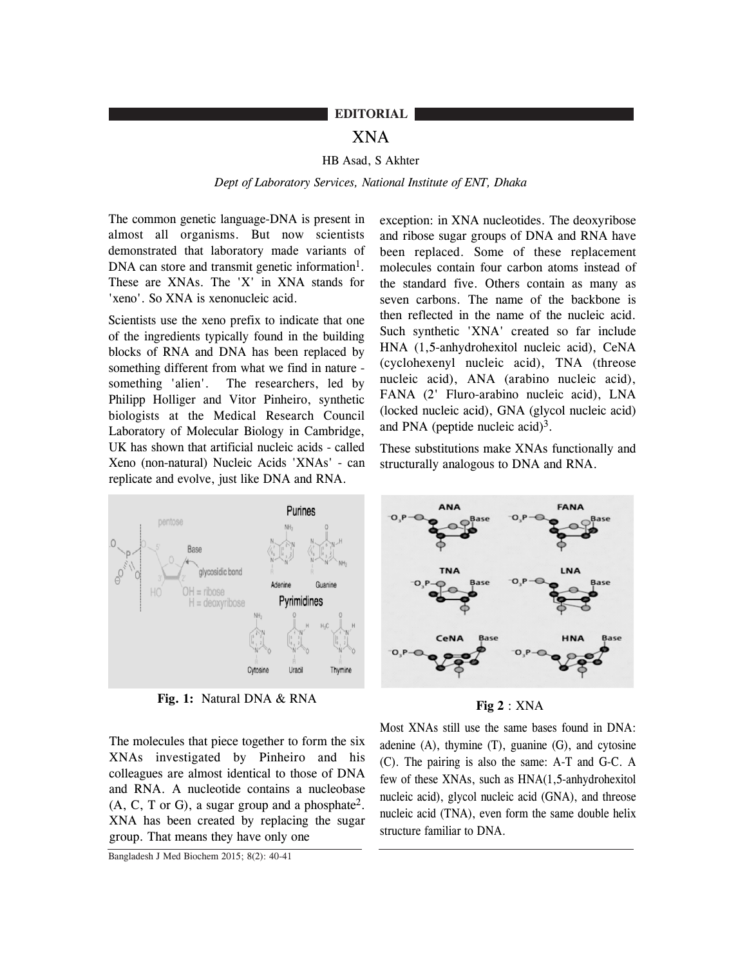## **EDITORIAL**

# XNA

## HB Asad, S Akhter

#### *Dept of Laboratory Services, National Institute of ENT, Dhaka*

The common genetic language-DNA is present in almost all organisms. But now scientists demonstrated that laboratory made variants of DNA can store and transmit genetic information<sup>1</sup>. These are XNAs. The 'X' in XNA stands for 'xeno'. So XNA is xenonucleic acid.

Scientists use the xeno prefix to indicate that one of the ingredients typically found in the building blocks of RNA and DNA has been replaced by something different from what we find in nature something 'alien'. The researchers, led by Philipp Holliger and Vitor Pinheiro, synthetic biologists at the Medical Research Council Laboratory of Molecular Biology in Cambridge, UK has shown that artificial nucleic acids - called Xeno (non-natural) Nucleic Acids 'XNAs' - can replicate and evolve, just like DNA and RNA.

exception: in XNA nucleotides. The deoxyribose and ribose sugar groups of DNA and RNA have been replaced. Some of these replacement molecules contain four carbon atoms instead of the standard five. Others contain as many as seven carbons. The name of the backbone is then reflected in the name of the nucleic acid. Such synthetic 'XNA' created so far include HNA (1,5-anhydrohexitol nucleic acid), CeNA (cyclohexenyl nucleic acid), TNA (threose nucleic acid), ANA (arabino nucleic acid), FANA (2' Fluro-arabino nucleic acid), LNA (locked nucleic acid), GNA (glycol nucleic acid) and PNA (peptide nucleic acid) $3$ .

These substitutions make XNAs functionally and structurally analogous to DNA and RNA.



**Fig. 1:** Natural DNA & RNA

The molecules that piece together to form the six XNAs investigated by Pinheiro and his colleagues are almost identical to those of DNA and RNA. A nucleotide contains a nucleobase (A, C, T or G), a sugar group and a phosphate2. XNA has been created by replacing the sugar group. That means they have only one

Bangladesh J Med Biochem 2015; 8(2): 40-41



**Fig 2** : XNA

Most XNAs still use the same bases found in DNA: adenine  $(A)$ , thymine  $(T)$ , guanine  $(G)$ , and cytosine (C). The pairing is also the same: A-T and G-C. A few of these XNAs, such as HNA(1,5-anhydrohexitol nucleic acid), glycol nucleic acid (GNA), and threose nucleic acid (TNA), even form the same double helix structure familiar to DNA.